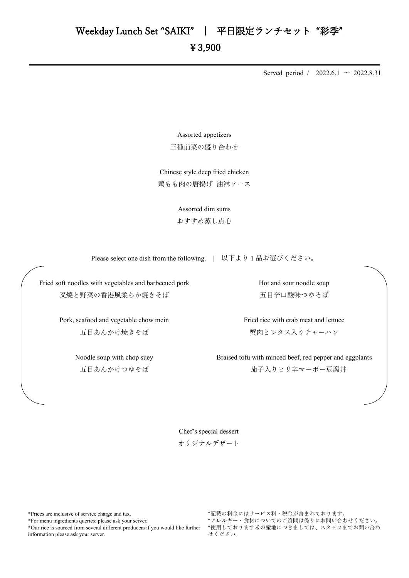## ¥3,900

Served period / 2022.6.1  $\sim$  2022.8.31

Assorted appetizers 三種前菜の盛り合わせ

Chinese style deep fried chicken 鶏もも肉の唐揚げ 油淋ソース

> Assorted dim sums おすすめ蒸し点心

Please select one dish from the following. | 以下より1品お選びください。

Fried soft noodles with vegetables and barbecued pork 叉焼と野菜の香港風柔らか焼きそば

> Pork, seafood and vegetable chow mein 五目あんかけ焼きそば

> > Noodle soup with chop suey 五目あんかけつゆそば

Hot and sour noodle soup 五目辛口酸味つゆそば

Fried rice with crab meat and lettuce 蟹肉とレタス入りチャーハン

Braised tofu with minced beef, red pepper and eggplants 茄子入りピリ辛マーボー豆腐丼

Chef's special dessert オリジナルデザート

\*Prices are inclusive of service charge and tax.

\*For menu ingredients queries: please ask your server.

\*Our rice is sourced from several different producers if you would like further information please ask your server.

\*記載の料金にはサービス料・税金が含まれております。 \*アレルギー・食材についてのご質問は係りにお問い合わせください。 \*使用しております米の産地につきましては、スタッフまでお問い合わ せください。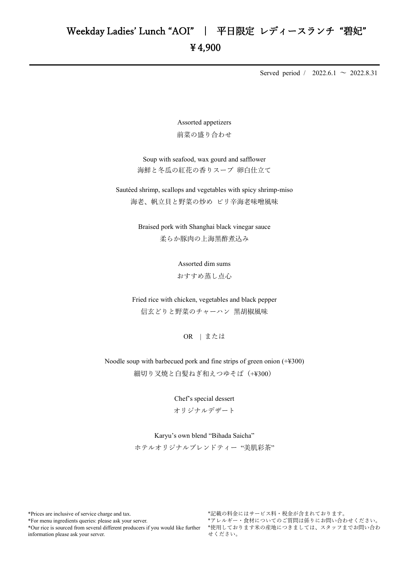Served period / 2022.6.1  $\sim$  2022.8.31

Assorted appetizers 前菜の盛り合わせ

Soup with seafood, wax gourd and safflower 海鮮と冬瓜の紅花の香りスープ 卵白仕立て

Sautéed shrimp, scallops and vegetables with spicy shrimp-miso 海老、帆立貝と野菜の炒め ピリ辛海老味噌風味

> Braised pork with Shanghai black vinegar sauce 柔らか豚肉の上海黒酢者込み

> > Assorted dim sums おすすめ蒸し点心

Fried rice with chicken, vegetables and black pepper 信玄どりと野菜のチャーハン 黒胡椒風味

OR | または

Noodle soup with barbecued pork and fine strips of green onion (+¥300) 細切り叉焼と白髪ねぎ和えつゆそば(+¥300)

> Chef's special dessert オリジナルデザート

## Karyu's own blend "Bihada Saicha"

ホテルオリジナルブレンドティー "美肌彩茶"

\*Prices are inclusive of service charge and tax.

\*For menu ingredients queries: please ask your server.

\*Our rice is sourced from several different producers if you would like further information please ask your server.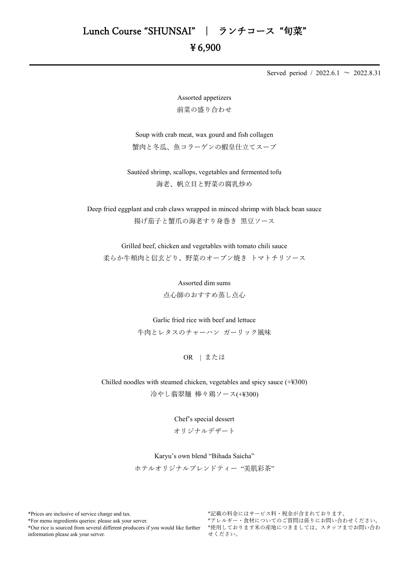## ¥6,900

Served period / 2022.6.1  $\sim$  2022.8.31

Assorted appetizers 前菜の盛り合わせ

Soup with crab meat, wax gourd and fish collagen 蟹肉と冬瓜、魚コラーゲンの蝦皇仕立てスープ

Sautéed shrimp, scallops, vegetables and fermented tofu 海老、帆立貝と野菜の腐乳炒め

Deep fried eggplant and crab claws wrapped in minced shrimp with black bean sauce 揚げ茄子と蟹爪の海老すり身巻き 黒豆ソース

Grilled beef, chicken and vegetables with tomato chili sauce 柔らか牛頬肉と信玄どり、野菜のオーブン焼き トマトチリソース

> Assorted dim sums 点心師のおすすめ蒸し点心

Garlic fried rice with beef and lettuce

牛肉とレタスのチャーハン ガーリック風味

OR | または

Chilled noodles with steamed chicken, vegetables and spicy sauce (+¥300)

冷やし翡翠麺 棒々鶏ソース(+¥300)

Chef's special dessert

オリジナルデザート

Karyu's own blend "Bihada Saicha"

ホテルオリジナルブレンドティー "美肌彩茶"

\*Prices are inclusive of service charge and tax.

\*For menu ingredients queries: please ask your server.

\*Our rice is sourced from several different producers if you would like further information please ask your server.

\*記載の料金にはサービス料・税金が含まれております。 \*アレルギー・食材についてのご質問は係りにお問い合わせください。 \*使用しております米の産地につきましては、スタッフまでお問い合わ せください。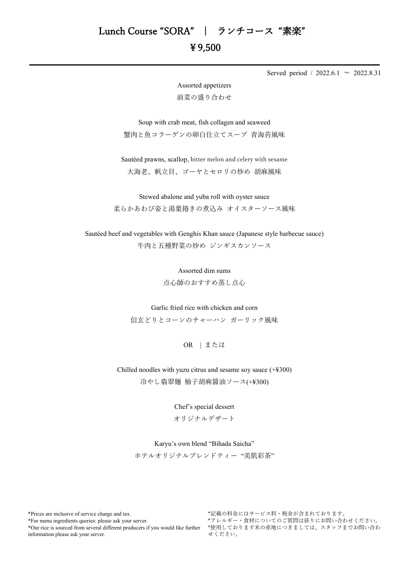Served period / 2022.6.1  $\sim$  2022.8.31

Assorted appetizers 前菜の盛り合わせ

Soup with crab meat, fish collagen and seaweed 蟹肉と魚コラーゲンの卵白仕立てスープ 青海苔風味

Sautéed prawns, scallop, bitter melon and celery with sesame 大海老、帆立貝、ゴーヤとセロリの炒め 胡麻風味

Stewed abalone and yuba roll with oyster sauce 柔らかあわび姿と湯葉捲きの煮込み オイスターソース風味

Sautéed beef and vegetables with Genghis Khan sauce (Japanese style barbecue sauce) 牛肉と五種野菜の炒め ジンギスカンソース

> Assorted dim sums 点心師のおすすめ蒸し点心

Garlic fried rice with chicken and corn 信玄どりとコーンのチャーハン ガーリック風味

OR | または

Chilled noodles with yuzu citrus and sesame soy sauce (+¥300) 冷やし翡翠麺 柚子胡麻醤油ソース(+¥300)

> Chef's special dessert オリジナルデザート

Karyu's own blend "Bihada Saicha"

ホテルオリジナルブレンドティー "美肌彩茶"

\*Prices are inclusive of service charge and tax.

\*For menu ingredients queries: please ask your server.

\*Our rice is sourced from several different producers if you would like further information please ask your server.